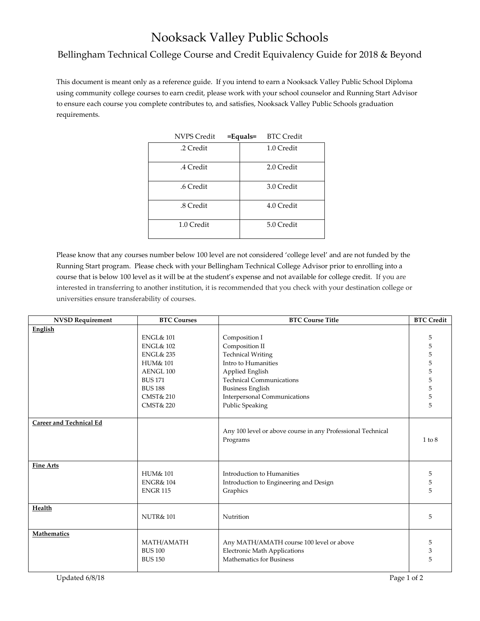## Nooksack Valley Public Schools

## Bellingham Technical College Course and Credit Equivalency Guide for 2018 & Beyond

This document is meant only as a reference guide. If you intend to earn a Nooksack Valley Public School Diploma using community college courses to earn credit, please work with your school counselor and Running Start Advisor to ensure each course you complete contributes to, and satisfies, Nooksack Valley Public Schools graduation requirements.

| <b>NVPS Credit</b> | $=$ Equals $=$ | <b>BTC Credit</b> |  |
|--------------------|----------------|-------------------|--|
| .2 Credit          |                | 1.0 Credit        |  |
| .4 Credit          |                | 2.0 Credit        |  |
| .6 Credit          |                | 3.0 Credit        |  |
| .8 Credit          |                | 4.0 Credit        |  |
| 1.0 Credit         |                | 5.0 Credit        |  |

Please know that any courses number below 100 level are not considered 'college level' and are not funded by the Running Start program. Please check with your Bellingham Technical College Advisor prior to enrolling into a course that is below 100 level as it will be at the student's expense and not available for college credit. If you are interested in transferring to another institution, it is recommended that you check with your destination college or universities ensure transferability of courses.

| <b>NVSD Requirement</b>        | <b>BTC Courses</b>   | <b>BTC Course Title</b>                                     | <b>BTC Credit</b> |
|--------------------------------|----------------------|-------------------------------------------------------------|-------------------|
| English                        |                      |                                                             |                   |
|                                | <b>ENGL&amp; 101</b> | Composition I                                               | 5                 |
|                                | <b>ENGL&amp; 102</b> | Composition II                                              | 5                 |
|                                | <b>ENGL&amp; 235</b> | <b>Technical Writing</b>                                    | 5                 |
|                                | <b>HUM&amp; 101</b>  | Intro to Humanities                                         | 5                 |
|                                | AENGL 100            | Applied English                                             | 5                 |
|                                | <b>BUS 171</b>       | <b>Technical Communications</b>                             | 5                 |
|                                | <b>BUS 188</b>       | <b>Business English</b>                                     | 5                 |
|                                | <b>CMST&amp; 210</b> | Interpersonal Communications                                | 5                 |
|                                | <b>CMST&amp; 220</b> | <b>Public Speaking</b>                                      | 5                 |
|                                |                      |                                                             |                   |
| <b>Career and Technical Ed</b> |                      |                                                             |                   |
|                                |                      | Any 100 level or above course in any Professional Technical |                   |
|                                |                      | Programs                                                    | $1$ to $8$        |
|                                |                      |                                                             |                   |
|                                |                      |                                                             |                   |
| <b>Fine Arts</b>               |                      |                                                             |                   |
|                                | <b>HUM&amp; 101</b>  | Introduction to Humanities                                  | 5                 |
|                                | <b>ENGR&amp; 104</b> | Introduction to Engineering and Design                      | 5                 |
|                                | <b>ENGR115</b>       | Graphics                                                    | 5                 |
|                                |                      |                                                             |                   |
| Health                         |                      |                                                             |                   |
|                                | <b>NUTR&amp;101</b>  | Nutrition                                                   | 5                 |
| <b>Mathematics</b>             |                      |                                                             |                   |
|                                | MATH/AMATH           | Any MATH/AMATH course 100 level or above                    | 5                 |
|                                | <b>BUS 100</b>       | <b>Electronic Math Applications</b>                         | 3                 |
|                                | <b>BUS 150</b>       | Mathematics for Business                                    | 5                 |
|                                |                      |                                                             |                   |